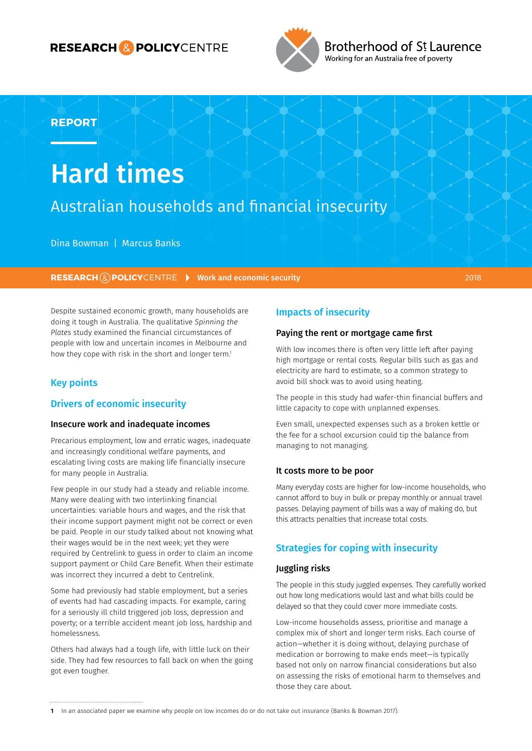# **RESEARCH & POLICY**CENTRE



Brotherhood of St Laurence Working for an Australia free of poverty

# **REPORT**

# Hard times

# Australian households and financial insecurity

Dina Bowman | Marcus Banks

**RESEARCH (2) POLICY**CENTRE **Work and economic security 2018** 2018

Despite sustained economic growth, many households are doing it tough in Australia. The qualitative *Spinning the Plates* study examined the financial circumstances of people with low and uncertain incomes in Melbourne and how they cope with risk in the short and longer term.<sup>1</sup>

# Key points

#### Drivers of economic insecurity

#### Insecure work and inadequate incomes

Precarious employment, low and erratic wages, inadequate and increasingly conditional welfare payments, and escalating living costs are making life financially insecure for many people in Australia.

Few people in our study had a steady and reliable income. Many were dealing with two interlinking financial uncertainties: variable hours and wages, and the risk that their income support payment might not be correct or even be paid. People in our study talked about not knowing what their wages would be in the next week; yet they were required by Centrelink to guess in order to claim an income support payment or Child Care Benefit. When their estimate was incorrect they incurred a debt to Centrelink.

Some had previously had stable employment, but a series of events had had cascading impacts. For example, caring for a seriously ill child triggered job loss, depression and poverty; or a terrible accident meant job loss, hardship and homelessness.

Others had always had a tough life, with little luck on their side. They had few resources to fall back on when the going got even tougher.

# Impacts of insecurity

#### Paying the rent or mortgage came first

With low incomes there is often very little left after paying high mortgage or rental costs. Regular bills such as gas and electricity are hard to estimate, so a common strategy to avoid bill shock was to avoid using heating.

The people in this study had wafer-thin financial buffers and little capacity to cope with unplanned expenses.

Even small, unexpected expenses such as a broken kettle or the fee for a school excursion could tip the balance from managing to not managing.

#### It costs more to be poor

Many everyday costs are higher for low-income households, who cannot afford to buy in bulk or prepay monthly or annual travel passes. Delaying payment of bills was a way of making do, but this attracts penalties that increase total costs.

# Strategies for coping with insecurity

#### Juggling risks

The people in this study juggled expenses. They carefully worked out how long medications would last and what bills could be delayed so that they could cover more immediate costs.

Low-income households assess, prioritise and manage a complex mix of short and longer term risks. Each course of action—whether it is doing without, delaying purchase of medication or borrowing to make ends meet—is typically based not only on narrow financial considerations but also on assessing the risks of emotional harm to themselves and those they care about.

**<sup>1</sup>** In an associated paper we examine why people on low incomes do or do not take out insurance (Banks & Bowman 2017).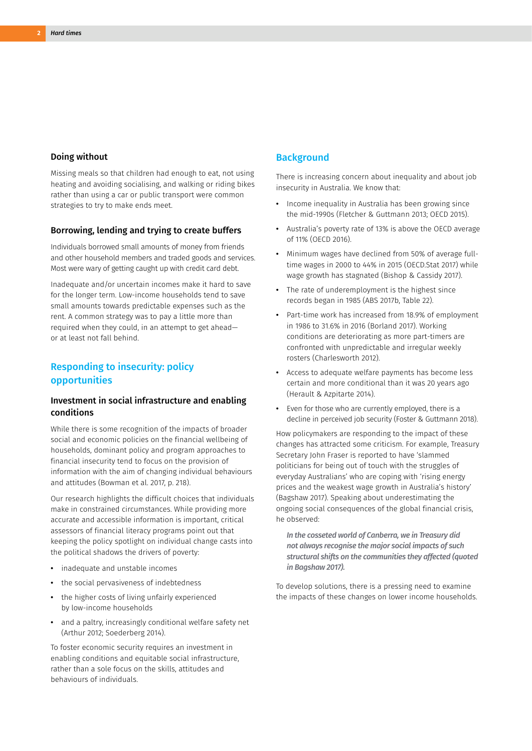#### Doing without

Missing meals so that children had enough to eat, not using heating and avoiding socialising, and walking or riding bikes rather than using a car or public transport were common strategies to try to make ends meet.

#### Borrowing, lending and trying to create buffers

Individuals borrowed small amounts of money from friends and other household members and traded goods and services. Most were wary of getting caught up with credit card debt.

Inadequate and/or uncertain incomes make it hard to save for the longer term. Low-income households tend to save small amounts towards predictable expenses such as the rent. A common strategy was to pay a little more than required when they could, in an attempt to get ahead or at least not fall behind.

# Responding to insecurity: policy opportunities

#### Investment in social infrastructure and enabling conditions

While there is some recognition of the impacts of broader social and economic policies on the financial wellbeing of households, dominant policy and program approaches to financial insecurity tend to focus on the provision of information with the aim of changing individual behaviours and attitudes (Bowman et al. 2017, p. 218).

Our research highlights the difficult choices that individuals make in constrained circumstances. While providing more accurate and accessible information is important, critical assessors of financial literacy programs point out that keeping the policy spotlight on individual change casts into the political shadows the drivers of poverty:

- **•** inadequate and unstable incomes
- **•** the social pervasiveness of indebtedness
- **•** the higher costs of living unfairly experienced by low-income households
- **•** and a paltry, increasingly conditional welfare safety net (Arthur 2012; Soederberg 2014).

To foster economic security requires an investment in enabling conditions and equitable social infrastructure, rather than a sole focus on the skills, attitudes and behaviours of individuals.

#### **Background**

There is increasing concern about inequality and about job insecurity in Australia. We know that:

- **•** Income inequality in Australia has been growing since the mid-1990s (Fletcher & Guttmann 2013; OECD 2015).
- **•** Australia's poverty rate of 13% is above the OECD average of 11% (OECD 2016).
- **•** Minimum wages have declined from 50% of average fulltime wages in 2000 to 44% in 2015 (OECD.Stat 2017) while wage growth has stagnated (Bishop & Cassidy 2017).
- **•** The rate of underemployment is the highest since records began in 1985 (ABS 2017b, Table 22).
- **•** Part-time work has increased from 18.9% of employment in 1986 to 31.6% in 2016 (Borland 2017). Working conditions are deteriorating as more part-timers are confronted with unpredictable and irregular weekly rosters (Charlesworth 2012).
- **•** Access to adequate welfare payments has become less certain and more conditional than it was 20 years ago (Herault & Azpitarte 2014).
- **•** Even for those who are currently employed, there is a decline in perceived job security (Foster & Guttmann 2018).

How policymakers are responding to the impact of these changes has attracted some criticism. For example, Treasury Secretary John Fraser is reported to have 'slammed politicians for being out of touch with the struggles of everyday Australians' who are coping with 'rising energy prices and the weakest wage growth in Australia's history' (Bagshaw 2017). Speaking about underestimating the ongoing social consequences of the global financial crisis, he observed:

*In the cosseted world of Canberra, we in Treasury did not always recognise the major social impacts of such structural shifts on the communities they affected (quoted in Bagshaw 2017).*

To develop solutions, there is a pressing need to examine the impacts of these changes on lower income households.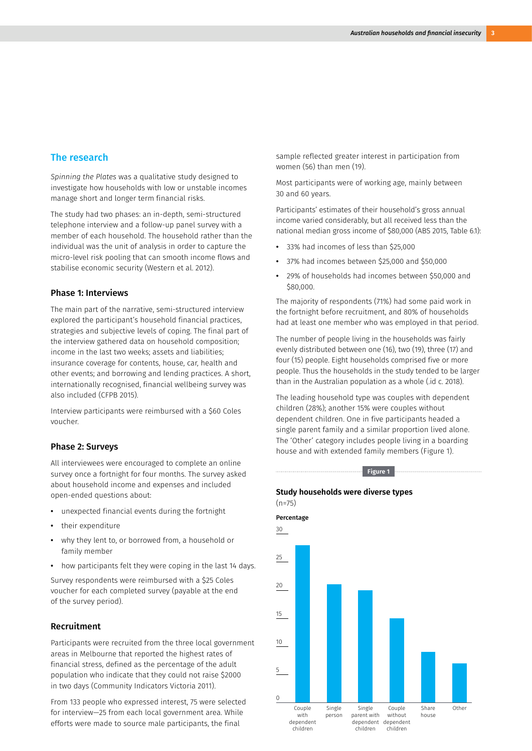#### The research

*Spinning the Plates* was a qualitative study designed to investigate how households with low or unstable incomes manage short and longer term financial risks.

The study had two phases: an in-depth, semi-structured telephone interview and a follow-up panel survey with a member of each household. The household rather than the individual was the unit of analysis in order to capture the micro-level risk pooling that can smooth income flows and stabilise economic security (Western et al. 2012).

#### Phase 1: Interviews

The main part of the narrative, semi-structured interview explored the participant's household financial practices, strategies and subjective levels of coping. The final part of the interview gathered data on household composition; income in the last two weeks; assets and liabilities; insurance coverage for contents, house, car, health and other events; and borrowing and lending practices. A short, internationally recognised, financial wellbeing survey was also included (CFPB 2015).

Interview participants were reimbursed with a \$60 Coles voucher.

#### Phase 2: Surveys

All interviewees were encouraged to complete an online survey once a fortnight for four months. The survey asked about household income and expenses and included open-ended questions about:

- **•** unexpected financial events during the fortnight
- **•** their expenditure
- **•** why they lent to, or borrowed from, a household or family member
- **•** how participants felt they were coping in the last 14 days.

Survey respondents were reimbursed with a \$25 Coles voucher for each completed survey (payable at the end of the survey period).

#### Recruitment

Participants were recruited from the three local government areas in Melbourne that reported the highest rates of financial stress, defined as the percentage of the adult population who indicate that they could not raise \$2000 in two days (Community Indicators Victoria 2011).

From 133 people who expressed interest, 75 were selected for interview—25 from each local government area. While efforts were made to source male participants, the final

sample reflected greater interest in participation from women (56) than men (19).

Most participants were of working age, mainly between 30 and 60 years.

Participants' estimates of their household's gross annual income varied considerably, but all received less than the national median gross income of \$80,000 (ABS 2015, Table 6.1):

- **•** 33% had incomes of less than \$25,000
- **•** 37% had incomes between \$25,000 and \$50,000
- **•** 29% of households had incomes between \$50,000 and \$80,000.

The majority of respondents (71%) had some paid work in the fortnight before recruitment, and 80% of households had at least one member who was employed in that period.

The number of people living in the households was fairly evenly distributed between one (16), two (19), three (17) and four (15) people. Eight households comprised five or more people. Thus the households in the study tended to be larger than in the Australian population as a whole (.id c. 2018).

The leading household type was couples with dependent children (28%); another 15% were couples without dependent children. One in five participants headed a single parent family and a similar proportion lived alone. The 'Other' category includes people living in a boarding house and with extended family members (Figure 1).

#### **Figure 1**

#### **Study households were diverse types**  (n=75)

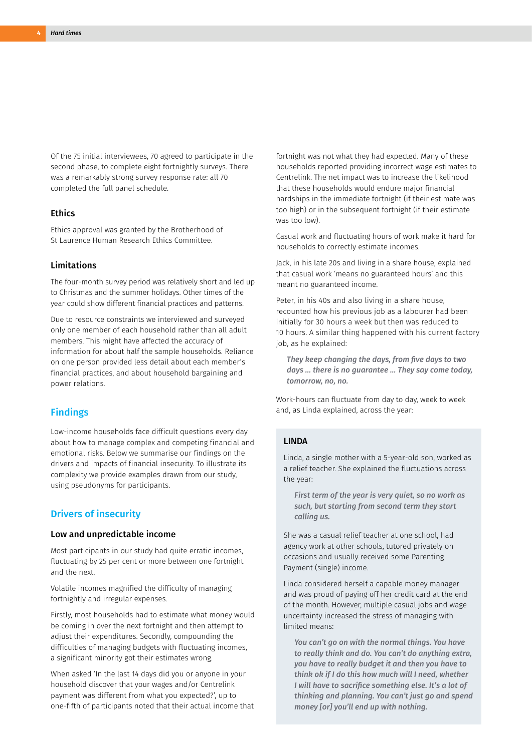Of the 75 initial interviewees, 70 agreed to participate in the second phase, to complete eight fortnightly surveys. There was a remarkably strong survey response rate: all 70 completed the full panel schedule.

#### **Ethics**

Ethics approval was granted by the Brotherhood of St Laurence Human Research Ethics Committee.

#### Limitations

The four-month survey period was relatively short and led up to Christmas and the summer holidays. Other times of the year could show different financial practices and patterns.

Due to resource constraints we interviewed and surveyed only one member of each household rather than all adult members. This might have affected the accuracy of information for about half the sample households. Reliance on one person provided less detail about each member's financial practices, and about household bargaining and power relations.

#### Findings

Low-income households face difficult questions every day about how to manage complex and competing financial and emotional risks. Below we summarise our findings on the drivers and impacts of financial insecurity. To illustrate its complexity we provide examples drawn from our study, using pseudonyms for participants.

#### Drivers of insecurity

#### Low and unpredictable income

Most participants in our study had quite erratic incomes, fluctuating by 25 per cent or more between one fortnight and the next.

Volatile incomes magnified the difficulty of managing fortnightly and irregular expenses.

Firstly, most households had to estimate what money would be coming in over the next fortnight and then attempt to adjust their expenditures. Secondly, compounding the difficulties of managing budgets with fluctuating incomes, a significant minority got their estimates wrong.

When asked 'In the last 14 days did you or anyone in your household discover that your wages and/or Centrelink payment was different from what you expected?', up to one-fifth of participants noted that their actual income that fortnight was not what they had expected. Many of these households reported providing incorrect wage estimates to Centrelink. The net impact was to increase the likelihood that these households would endure major financial hardships in the immediate fortnight (if their estimate was too high) or in the subsequent fortnight (if their estimate was too low).

Casual work and fluctuating hours of work make it hard for households to correctly estimate incomes.

Jack, in his late 20s and living in a share house, explained that casual work 'means no guaranteed hours' and this meant no guaranteed income.

Peter, in his 40s and also living in a share house, recounted how his previous job as a labourer had been initially for 30 hours a week but then was reduced to 10 hours. A similar thing happened with his current factory job, as he explained:

*They keep changing the days, from five days to two days … there is no guarantee … They say come today, tomorrow, no, no.*

Work-hours can fluctuate from day to day, week to week and, as Linda explained, across the year:

#### LINDA

Linda, a single mother with a 5-year-old son, worked as a relief teacher. She explained the fluctuations across the year:

*First term of the year is very quiet, so no work as such, but starting from second term they start calling us.*

She was a casual relief teacher at one school, had agency work at other schools, tutored privately on occasions and usually received some Parenting Payment (single) income.

Linda considered herself a capable money manager and was proud of paying off her credit card at the end of the month. However, multiple casual jobs and wage uncertainty increased the stress of managing with limited means:

*You can't go on with the normal things. You have to really think and do. You can't do anything extra, you have to really budget it and then you have to think ok if I do this how much will I need, whether I will have to sacrifice something else. It's a lot of thinking and planning. You can't just go and spend money [or] you'll end up with nothing.*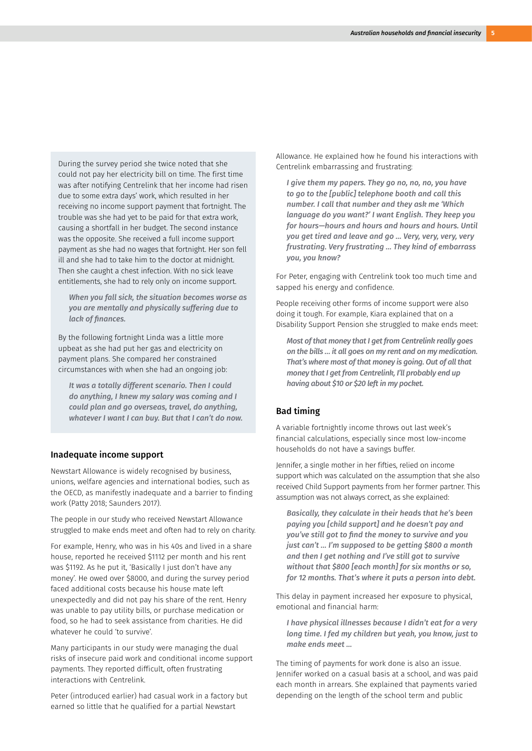During the survey period she twice noted that she could not pay her electricity bill on time. The first time was after notifying Centrelink that her income had risen due to some extra days' work, which resulted in her receiving no income support payment that fortnight. The trouble was she had yet to be paid for that extra work, causing a shortfall in her budget. The second instance was the opposite. She received a full income support payment as she had no wages that fortnight. Her son fell ill and she had to take him to the doctor at midnight. Then she caught a chest infection. With no sick leave entitlements, she had to rely only on income support.

*When you fall sick, the situation becomes worse as you are mentally and physically suffering due to lack of finances.*

By the following fortnight Linda was a little more upbeat as she had put her gas and electricity on payment plans. She compared her constrained circumstances with when she had an ongoing job:

*It was a totally different scenario. Then I could do anything, I knew my salary was coming and I could plan and go overseas, travel, do anything, whatever I want I can buy. But that I can't do now.*

#### Inadequate income support

Newstart Allowance is widely recognised by business, unions, welfare agencies and international bodies, such as the OECD, as manifestly inadequate and a barrier to finding work (Patty 2018; Saunders 2017).

The people in our study who received Newstart Allowance struggled to make ends meet and often had to rely on charity.

For example, Henry, who was in his 40s and lived in a share house, reported he received \$1112 per month and his rent was \$1192. As he put it, 'Basically I just don't have any money'. He owed over \$8000, and during the survey period faced additional costs because his house mate left unexpectedly and did not pay his share of the rent. Henry was unable to pay utility bills, or purchase medication or food, so he had to seek assistance from charities. He did whatever he could 'to survive'.

Many participants in our study were managing the dual risks of insecure paid work and conditional income support payments. They reported difficult, often frustrating interactions with Centrelink.

Peter (introduced earlier) had casual work in a factory but earned so little that he qualified for a partial Newstart

Allowance. He explained how he found his interactions with Centrelink embarrassing and frustrating:

*I give them my papers. They go no, no, no, you have to go to the [public] telephone booth and call this number. I call that number and they ask me 'Which language do you want?' I want English. They keep you for hours—hours and hours and hours and hours. Until you get tired and leave and go … Very, very, very, very frustrating. Very frustrating … They kind of embarrass you, you know?*

For Peter, engaging with Centrelink took too much time and sapped his energy and confidence.

People receiving other forms of income support were also doing it tough. For example, Kiara explained that on a Disability Support Pension she struggled to make ends meet:

*Most of that money that I get from Centrelink really goes on the bills … it all goes on my rent and on my medication. That's where most of that money is going. Out of all that money that I get from Centrelink, I'll probably end up having about \$10 or \$20 left in my pocket.*

#### Bad timing

A variable fortnightly income throws out last week's financial calculations, especially since most low-income households do not have a savings buffer.

Jennifer, a single mother in her fifties, relied on income support which was calculated on the assumption that she also received Child Support payments from her former partner. This assumption was not always correct, as she explained:

*Basically, they calculate in their heads that he's been paying you [child support] and he doesn't pay and you've still got to find the money to survive and you just can't … I'm supposed to be getting \$800 a month and then I get nothing and I've still got to survive without that \$800 [each month] for six months or so, for 12 months. That's where it puts a person into debt.*

This delay in payment increased her exposure to physical, emotional and financial harm:

*I have physical illnesses because I didn't eat for a very long time. I fed my children but yeah, you know, just to make ends meet ...*

The timing of payments for work done is also an issue. Jennifer worked on a casual basis at a school, and was paid each month in arrears. She explained that payments varied depending on the length of the school term and public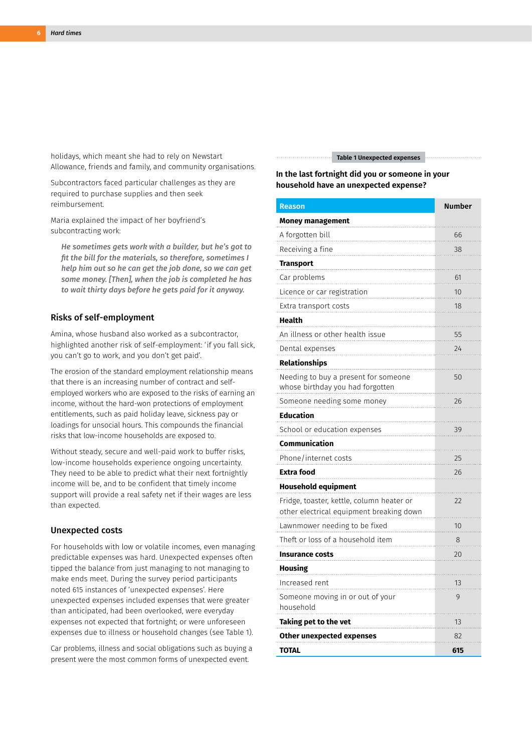holidays, which meant she had to rely on Newstart Allowance, friends and family, and community organisations.

Subcontractors faced particular challenges as they are required to purchase supplies and then seek reimbursement.

Maria explained the impact of her boyfriend's subcontracting work:

*He sometimes gets work with a builder, but he's got to fit the bill for the materials, so therefore, sometimes I help him out so he can get the job done, so we can get some money. [Then], when the job is completed he has to wait thirty days before he gets paid for it anyway.*

#### Risks of self-employment

Amina, whose husband also worked as a subcontractor, highlighted another risk of self-employment: 'if you fall sick, you can't go to work, and you don't get paid'.

The erosion of the standard employment relationship means that there is an increasing number of contract and selfemployed workers who are exposed to the risks of earning an income, without the hard-won protections of employment entitlements, such as paid holiday leave, sickness pay or loadings for unsocial hours. This compounds the financial risks that low-income households are exposed to.

Without steady, secure and well-paid work to buffer risks, low-income households experience ongoing uncertainty. They need to be able to predict what their next fortnightly income will be, and to be confident that timely income support will provide a real safety net if their wages are less than expected.

#### Unexpected costs

For households with low or volatile incomes, even managing predictable expenses was hard. Unexpected expenses often tipped the balance from just managing to not managing to make ends meet. During the survey period participants noted 615 instances of 'unexpected expenses'. Here unexpected expenses included expenses that were greater than anticipated, had been overlooked, were everyday expenses not expected that fortnight; or were unforeseen expenses due to illness or household changes (see Table 1).

Car problems, illness and social obligations such as buying a present were the most common forms of unexpected event.

#### **Table 1 Unexpected expenses**

#### **In the last fortnight did you or someone in your household have an unexpected expense?**

| <b>Reason</b>                                                                         | <b>Number</b> |
|---------------------------------------------------------------------------------------|---------------|
| <b>Money management</b>                                                               |               |
| A forgotten bill                                                                      | 66            |
| Receiving a fine                                                                      | 38            |
| <b>Transport</b>                                                                      |               |
| Car problems                                                                          | 61            |
| Licence or car registration                                                           | 10            |
| Extra transport costs                                                                 | 18            |
| Health                                                                                |               |
| An illness or other health issue                                                      | 55            |
| Dental expenses                                                                       | 24            |
| <b>Relationships</b>                                                                  |               |
| Needing to buy a present for someone<br>whose birthday you had forgotten              | 50            |
| Someone needing some money                                                            | 26            |
| Education                                                                             |               |
| School or education expenses                                                          | 39            |
| Communication                                                                         |               |
| Phone/internet costs                                                                  | 25            |
| <b>Extra food</b>                                                                     | 26            |
| <b>Household equipment</b>                                                            |               |
| Fridge, toaster, kettle, column heater or<br>other electrical equipment breaking down | 22            |
| Lawnmower needing to be fixed                                                         | 10            |
| Theft or loss of a household item                                                     | 8             |
| <b>Insurance costs</b>                                                                | 20            |
| Housing                                                                               |               |
| Increased rent                                                                        | 13            |
| Someone moving in or out of your<br>household                                         | 9             |
| Taking pet to the vet                                                                 | 13            |
| <b>Other unexpected expenses</b>                                                      | 82            |
| <b>TOTAL</b>                                                                          | 615           |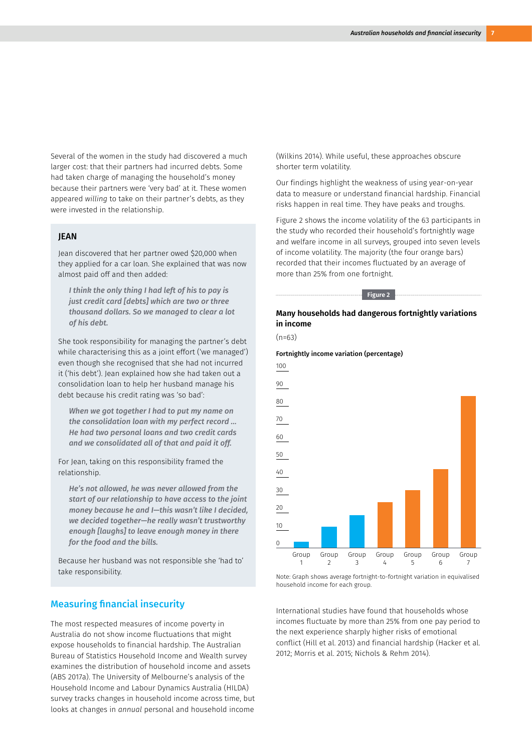Several of the women in the study had discovered a much larger cost: that their partners had incurred debts. Some had taken charge of managing the household's money because their partners were 'very bad' at it. These women appeared *willing* to take on their partner's debts, as they were invested in the relationship.

#### JEAN

Jean discovered that her partner owed \$20,000 when they applied for a car loan. She explained that was now almost paid off and then added:

*I think the only thing I had left of his to pay is just credit card [debts] which are two or three thousand dollars. So we managed to clear a lot of his debt.*

She took responsibility for managing the partner's debt while characterising this as a joint effort ('we managed') even though she recognised that she had not incurred it ('his debt'). Jean explained how she had taken out a consolidation loan to help her husband manage his debt because his credit rating was 'so bad':

*When we got together I had to put my name on the consolidation loan with my perfect record … He had two personal loans and two credit cards and we consolidated all of that and paid it off.*

For Jean, taking on this responsibility framed the relationship.

*He's not allowed, he was never allowed from the start of our relationship to have access to the joint money because he and I—this wasn't like I decided, we decided together—he really wasn't trustworthy enough [laughs] to leave enough money in there for the food and the bills.*

Because her husband was not responsible she 'had to' take responsibility.

## Measuring financial insecurity

The most respected measures of income poverty in Australia do not show income fluctuations that might expose households to financial hardship. The Australian Bureau of Statistics Household Income and Wealth survey examines the distribution of household income and assets (ABS 2017a). The University of Melbourne's analysis of the Household Income and Labour Dynamics Australia (HILDA) survey tracks changes in household income across time, but looks at changes in *annual* personal and household income

(Wilkins 2014). While useful, these approaches obscure shorter term volatility.

Our findings highlight the weakness of using year-on-year data to measure or understand financial hardship. Financial risks happen in real time. They have peaks and troughs.

Figure 2 shows the income volatility of the 63 participants in the study who recorded their household's fortnightly wage and welfare income in all surveys, grouped into seven levels of income volatility. The majority (the four orange bars) recorded that their incomes fluctuated by an average of more than 25% from one fortnight.

**Figure 2**

#### **Many households had dangerous fortnightly variations in income**

 $(n=63)$ 





Note: Graph shows average fortnight-to-fortnight variation in equivalised household income for each group.

International studies have found that households whose incomes fluctuate by more than 25% from one pay period to the next experience sharply higher risks of emotional conflict (Hill et al. 2013) and financial hardship (Hacker et al. 2012; Morris et al. 2015; Nichols & Rehm 2014).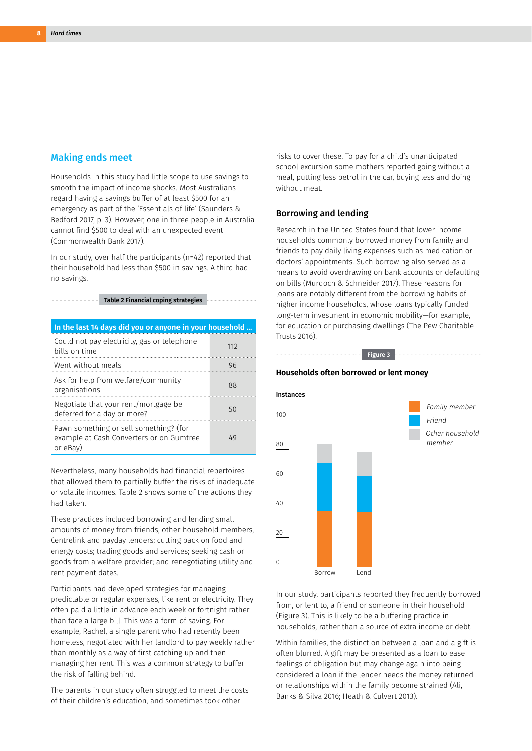#### Making ends meet

Households in this study had little scope to use savings to smooth the impact of income shocks. Most Australians regard having a savings buffer of at least \$500 for an emergency as part of the 'Essentials of life' (Saunders & Bedford 2017, p. 3). However, one in three people in Australia cannot find \$500 to deal with an unexpected event (Commonwealth Bank 2017).

In our study, over half the participants (n=42) reported that their household had less than \$500 in savings. A third had no savings.

**Table 2 Financial coping strategies**

| In the last 14 days did you or anyone in your household                                        |     |
|------------------------------------------------------------------------------------------------|-----|
| Could not pay electricity, gas or telephone<br>bills on time                                   | 112 |
| Went without meals                                                                             | 96  |
| Ask for help from welfare/community<br>organisations                                           | 88  |
| Negotiate that your rent/mortgage be<br>deferred for a day or more?                            | 50  |
| Pawn something or sell something? (for<br>example at Cash Converters or on Gumtree<br>or eBay) | 49  |

Nevertheless, many households had financial repertoires that allowed them to partially buffer the risks of inadequate or volatile incomes. Table 2 shows some of the actions they had taken.

These practices included borrowing and lending small amounts of money from friends, other household members, Centrelink and payday lenders; cutting back on food and energy costs; trading goods and services; seeking cash or goods from a welfare provider; and renegotiating utility and rent payment dates.

Participants had developed strategies for managing predictable or regular expenses, like rent or electricity. They often paid a little in advance each week or fortnight rather than face a large bill. This was a form of saving. For example, Rachel, a single parent who had recently been homeless, negotiated with her landlord to pay weekly rather than monthly as a way of first catching up and then managing her rent. This was a common strategy to buffer the risk of falling behind.

The parents in our study often struggled to meet the costs of their children's education, and sometimes took other

risks to cover these. To pay for a child's unanticipated school excursion some mothers reported going without a meal, putting less petrol in the car, buying less and doing without meat.

#### Borrowing and lending

Research in the United States found that lower income households commonly borrowed money from family and friends to pay daily living expenses such as medication or doctors' appointments. Such borrowing also served as a means to avoid overdrawing on bank accounts or defaulting on bills (Murdoch & Schneider 2017). These reasons for loans are notably different from the borrowing habits of higher income households, whose loans typically funded long-term investment in economic mobility—for example, for education or purchasing dwellings (The Pew Charitable Trusts 2016).

**Figure 3**



In our study, participants reported they frequently borrowed from, or lent to, a friend or someone in their household (Figure 3). This is likely to be a buffering practice in households, rather than a source of extra income or debt.

Within families, the distinction between a loan and a gift is often blurred. A gift may be presented as a loan to ease feelings of obligation but may change again into being considered a loan if the lender needs the money returned or relationships within the family become strained (Ali, Banks & Silva 2016; Heath & Culvert 2013).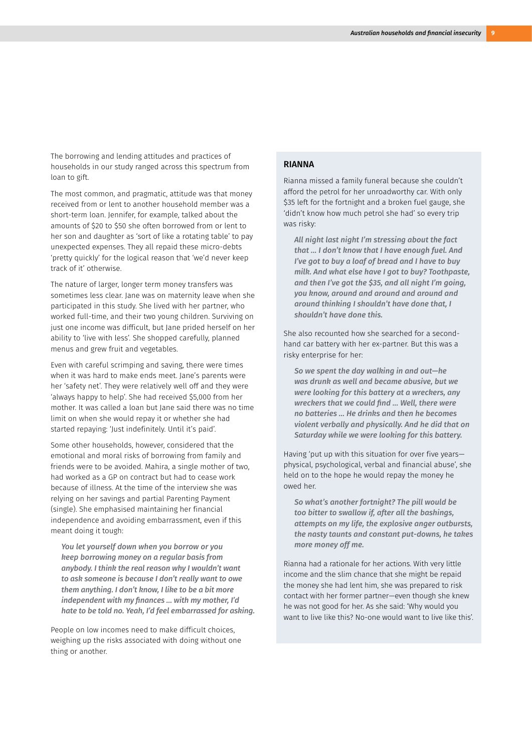The borrowing and lending attitudes and practices of households in our study ranged across this spectrum from loan to gift.

The most common, and pragmatic, attitude was that money received from or lent to another household member was a short-term loan. Jennifer, for example, talked about the amounts of \$20 to \$50 she often borrowed from or lent to her son and daughter as 'sort of like a rotating table' to pay unexpected expenses. They all repaid these micro-debts 'pretty quickly' for the logical reason that 'we'd never keep track of it' otherwise.

The nature of larger, longer term money transfers was sometimes less clear. Jane was on maternity leave when she participated in this study. She lived with her partner, who worked full-time, and their two young children. Surviving on just one income was difficult, but Jane prided herself on her ability to 'live with less'. She shopped carefully, planned menus and grew fruit and vegetables.

Even with careful scrimping and saving, there were times when it was hard to make ends meet. Jane's parents were her 'safety net'. They were relatively well off and they were 'always happy to help'. She had received \$5,000 from her mother. It was called a loan but Jane said there was no time limit on when she would repay it or whether she had started repaying: 'Just indefinitely. Until it's paid'.

Some other households, however, considered that the emotional and moral risks of borrowing from family and friends were to be avoided. Mahira, a single mother of two, had worked as a GP on contract but had to cease work because of illness. At the time of the interview she was relying on her savings and partial Parenting Payment (single). She emphasised maintaining her financial independence and avoiding embarrassment, even if this meant doing it tough:

*You let yourself down when you borrow or you keep borrowing money on a regular basis from anybody. I think the real reason why I wouldn't want to ask someone is because I don't really want to owe them anything. I don't know, I like to be a bit more independent with my finances … with my mother, I'd hate to be told no. Yeah, I'd feel embarrassed for asking.*

People on low incomes need to make difficult choices, weighing up the risks associated with doing without one thing or another.

#### RIANNA

Rianna missed a family funeral because she couldn't afford the petrol for her unroadworthy car. With only \$35 left for the fortnight and a broken fuel gauge, she 'didn't know how much petrol she had' so every trip was risky:

*All night last night I'm stressing about the fact that … I don't know that I have enough fuel. And I've got to buy a loaf of bread and I have to buy milk. And what else have I got to buy? Toothpaste, and then I've got the \$35, and all night I'm going, you know, around and around and around and around thinking I shouldn't have done that, I shouldn't have done this.*

She also recounted how she searched for a secondhand car battery with her ex-partner. But this was a risky enterprise for her:

*So we spent the day walking in and out—he was drunk as well and became abusive, but we were looking for this battery at a wreckers, any wreckers that we could find … Well, there were no batteries … He drinks and then he becomes violent verbally and physically. And he did that on Saturday while we were looking for this battery.*

Having 'put up with this situation for over five years physical, psychological, verbal and financial abuse', she held on to the hope he would repay the money he owed her.

*So what's another fortnight? The pill would be too bitter to swallow if, after all the bashings, attempts on my life, the explosive anger outbursts, the nasty taunts and constant put-downs, he takes more money off me.*

Rianna had a rationale for her actions. With very little income and the slim chance that she might be repaid the money she had lent him, she was prepared to risk contact with her former partner—even though she knew he was not good for her. As she said: 'Why would you want to live like this? No-one would want to live like this'.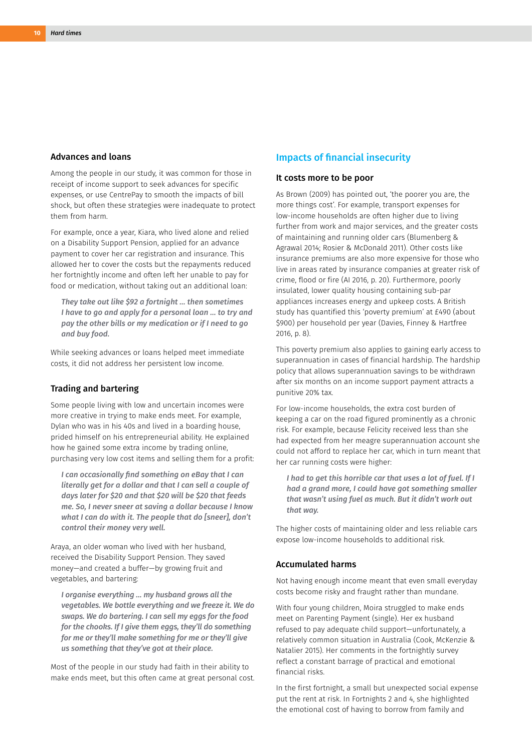#### Advances and loans

Among the people in our study, it was common for those in receipt of income support to seek advances for specific expenses, or use CentrePay to smooth the impacts of bill shock, but often these strategies were inadequate to protect them from harm.

For example, once a year, Kiara, who lived alone and relied on a Disability Support Pension, applied for an advance payment to cover her car registration and insurance. This allowed her to cover the costs but the repayments reduced her fortnightly income and often left her unable to pay for food or medication, without taking out an additional loan:

*They take out like \$92 a fortnight … then sometimes I have to go and apply for a personal loan … to try and pay the other bills or my medication or if I need to go and buy food.*

While seeking advances or loans helped meet immediate costs, it did not address her persistent low income.

#### Trading and bartering

Some people living with low and uncertain incomes were more creative in trying to make ends meet. For example, Dylan who was in his 40s and lived in a boarding house, prided himself on his entrepreneurial ability. He explained how he gained some extra income by trading online, purchasing very low cost items and selling them for a profit:

*I can occasionally find something on eBay that I can literally get for a dollar and that I can sell a couple of days later for \$20 and that \$20 will be \$20 that feeds me. So, I never sneer at saving a dollar because I know what I can do with it. The people that do [sneer], don't control their money very well.*

Araya, an older woman who lived with her husband, received the Disability Support Pension. They saved money—and created a buffer—by growing fruit and vegetables, and bartering:

*I organise everything … my husband grows all the vegetables. We bottle everything and we freeze it. We do swaps. We do bartering. I can sell my eggs for the food for the chooks. If I give them eggs, they'll do something for me or they'll make something for me or they'll give us something that they've got at their place.*

Most of the people in our study had faith in their ability to make ends meet, but this often came at great personal cost.

#### Impacts of financial insecurity

#### It costs more to be poor

As Brown (2009) has pointed out, 'the poorer you are, the more things cost'. For example, transport expenses for low-income households are often higher due to living further from work and major services, and the greater costs of maintaining and running older cars (Blumenberg & Agrawal 2014; Rosier & McDonald 2011). Other costs like insurance premiums are also more expensive for those who live in areas rated by insurance companies at greater risk of crime, flood or fire (AI 2016, p. 20). Furthermore, poorly insulated, lower quality housing containing sub-par appliances increases energy and upkeep costs. A British study has quantified this 'poverty premium' at £490 (about \$900) per household per year (Davies, Finney & Hartfree 2016, p. 8).

This poverty premium also applies to gaining early access to superannuation in cases of financial hardship. The hardship policy that allows superannuation savings to be withdrawn after six months on an income support payment attracts a punitive 20% tax.

For low-income households, the extra cost burden of keeping a car on the road figured prominently as a chronic risk. For example, because Felicity received less than she had expected from her meagre superannuation account she could not afford to replace her car, which in turn meant that her car running costs were higher:

*I had to get this horrible car that uses a lot of fuel. If I had a grand more, I could have got something smaller that wasn't using fuel as much. But it didn't work out that way.*

The higher costs of maintaining older and less reliable cars expose low-income households to additional risk.

#### Accumulated harms

Not having enough income meant that even small everyday costs become risky and fraught rather than mundane.

With four young children, Moira struggled to make ends meet on Parenting Payment (single). Her ex husband refused to pay adequate child support—unfortunately, a relatively common situation in Australia (Cook, McKenzie & Natalier 2015). Her comments in the fortnightly survey reflect a constant barrage of practical and emotional financial risks.

In the first fortnight, a small but unexpected social expense put the rent at risk. In Fortnights 2 and 4, she highlighted the emotional cost of having to borrow from family and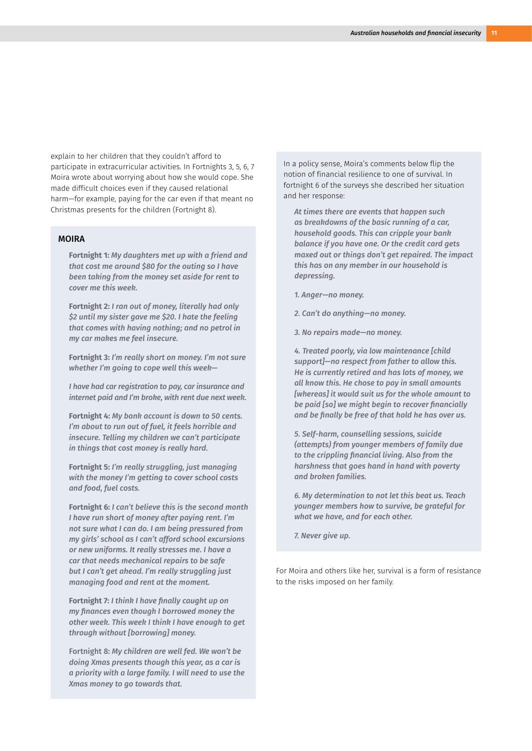explain to her children that they couldn't afford to participate in extracurricular activities. In Fortnights 3, 5, 6, 7 Moira wrote about worrying about how she would cope. She made difficult choices even if they caused relational harm—for example, paying for the car even if that meant no Christmas presents for the children (Fortnight 8).

#### MOIRA

**Fortnight 1:** *My daughters met up with a friend and that cost me around \$80 for the outing so I have been taking from the money set aside for rent to cover me this week.*

**Fortnight 2:** *I ran out of money, literally had only \$2 until my sister gave me \$20. I hate the feeling that comes with having nothing; and no petrol in my car makes me feel insecure.*

**Fortnight 3:** *I'm really short on money. I'm not sure whether I'm going to cope well this week—*

*I have had car registration to pay, car insurance and internet paid and I'm broke, with rent due next week.*

**Fortnight 4:** *My bank account is down to 50 cents. I'm about to run out of fuel, it feels horrible and insecure. Telling my children we can't participate in things that cost money is really hard.*

**Fortnight 5:** *I'm really struggling, just managing with the money I'm getting to cover school costs and food, fuel costs.*

**Fortnight 6:** *I can't believe this is the second month I have run short of money after paying rent. I'm not sure what I can do. I am being pressured from my girls' school as I can't afford school excursions or new uniforms. It really stresses me. I have a car that needs mechanical repairs to be safe but I can't get ahead. I'm really struggling just managing food and rent at the moment.*

**Fortnight 7:** *I think I have finally caught up on my finances even though I borrowed money the other week. This week I think I have enough to get through without [borrowing] money.*

Fortnight 8: *My children are well fed. We won't be doing Xmas presents though this year, as a car is a priority with a large family. I will need to use the Xmas money to go towards that.*

In a policy sense, Moira's comments below flip the notion of financial resilience to one of survival. In fortnight 6 of the surveys she described her situation and her response:

*At times there are events that happen such as breakdowns of the basic running of a car, household goods. This can cripple your bank balance if you have one. Or the credit card gets maxed out or things don't get repaired. The impact this has on any member in our household is depressing.*

- *1. Anger—no money.*
- *2. Can't do anything—no money.*
- *3. No repairs made—no money.*

*4. Treated poorly, via low maintenance [child support]—no respect from father to allow this. He is currently retired and has lots of money, we all know this. He chose to pay in small amounts [whereas] it would suit us for the whole amount to be paid [so] we might begin to recover financially and be finally be free of that hold he has over us.*

*5. Self-harm, counselling sessions, suicide (attempts) from younger members of family due to the crippling financial living. Also from the harshness that goes hand in hand with poverty and broken families.*

*6. My determination to not let this beat us. Teach younger members how to survive, be grateful for what we have, and for each other.*

*7. Never give up.*

For Moira and others like her, survival is a form of resistance to the risks imposed on her family.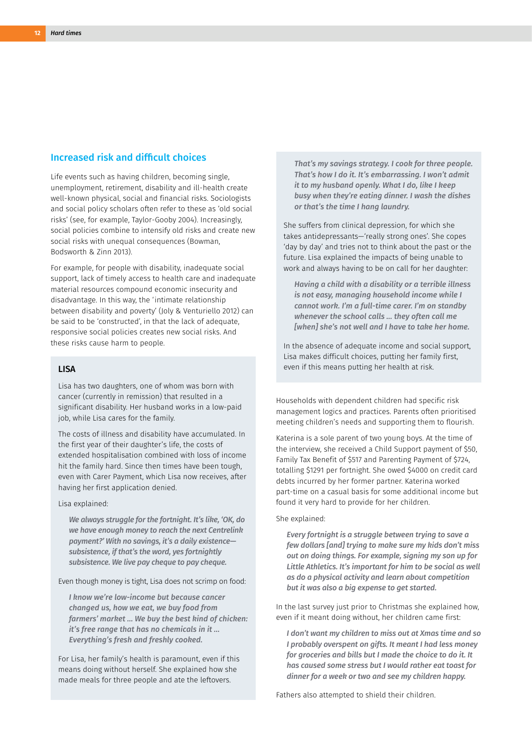#### Increased risk and difficult choices

Life events such as having children, becoming single, unemployment, retirement, disability and ill-health create well-known physical, social and financial risks. Sociologists and social policy scholars often refer to these as 'old social risks' (see, for example, Taylor-Gooby 2004). Increasingly, social policies combine to intensify old risks and create new social risks with unequal consequences (Bowman, Bodsworth & Zinn 2013).

For example, for people with disability, inadequate social support, lack of timely access to health care and inadequate material resources compound economic insecurity and disadvantage. In this way, the 'intimate relationship between disability and poverty' (Joly & Venturiello 2012) can be said to be 'constructed', in that the lack of adequate, responsive social policies creates new social risks. And these risks cause harm to people.

#### LISA

Lisa has two daughters, one of whom was born with cancer (currently in remission) that resulted in a significant disability. Her husband works in a low-paid job, while Lisa cares for the family.

The costs of illness and disability have accumulated. In the first year of their daughter's life, the costs of extended hospitalisation combined with loss of income hit the family hard. Since then times have been tough, even with Carer Payment, which Lisa now receives, after having her first application denied.

#### Lisa explained:

*We always struggle for the fortnight. It's like, 'OK, do we have enough money to reach the next Centrelink payment?' With no savings, it's a daily existence subsistence, if that's the word, yes fortnightly subsistence. We live pay cheque to pay cheque.*

Even though money is tight, Lisa does not scrimp on food:

*I know we're low-income but because cancer changed us, how we eat, we buy food from farmers' market … We buy the best kind of chicken: it's free range that has no chemicals in it … Everything's fresh and freshly cooked.*

For Lisa, her family's health is paramount, even if this means doing without herself. She explained how she made meals for three people and ate the leftovers.

*That's my savings strategy. I cook for three people. That's how I do it. It's embarrassing. I won't admit it to my husband openly. What I do, like I keep busy when they're eating dinner. I wash the dishes or that's the time I hang laundry.*

She suffers from clinical depression, for which she takes antidepressants—'really strong ones'. She copes 'day by day' and tries not to think about the past or the future. Lisa explained the impacts of being unable to work and always having to be on call for her daughter:

*Having a child with a disability or a terrible illness is not easy, managing household income while I cannot work. I'm a full-time carer. I'm on standby whenever the school calls … they often call me [when] she's not well and I have to take her home.*

In the absence of adequate income and social support, Lisa makes difficult choices, putting her family first, even if this means putting her health at risk.

Households with dependent children had specific risk management logics and practices. Parents often prioritised meeting children's needs and supporting them to flourish.

Katerina is a sole parent of two young boys. At the time of the interview, she received a Child Support payment of \$50, Family Tax Benefit of \$517 and Parenting Payment of \$724, totalling \$1291 per fortnight. She owed \$4000 on credit card debts incurred by her former partner. Katerina worked part-time on a casual basis for some additional income but found it very hard to provide for her children.

#### She explained:

*Every fortnight is a struggle between trying to save a few dollars [and] trying to make sure my kids don't miss out on doing things. For example, signing my son up for Little Athletics. It's important for him to be social as well as do a physical activity and learn about competition but it was also a big expense to get started.*

In the last survey just prior to Christmas she explained how, even if it meant doing without, her children came first:

*I don't want my children to miss out at Xmas time and so I probably overspent on gifts. It meant I had less money for groceries and bills but I made the choice to do it. It has caused some stress but I would rather eat toast for dinner for a week or two and see my children happy.*

Fathers also attempted to shield their children.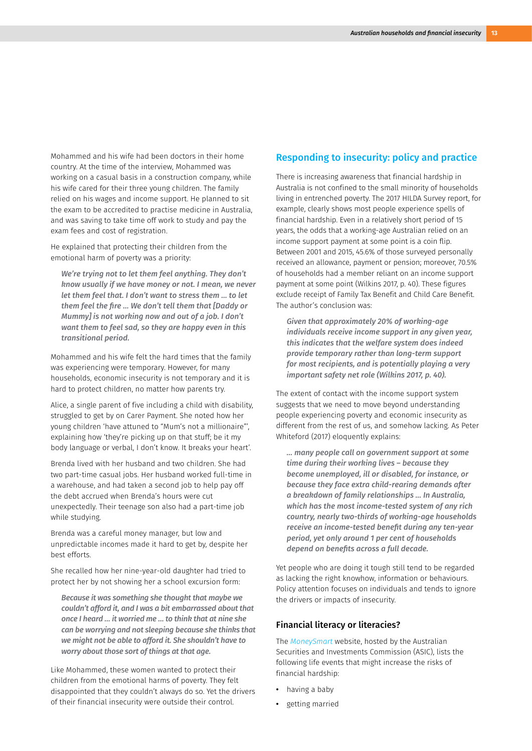Mohammed and his wife had been doctors in their home country. At the time of the interview, Mohammed was working on a casual basis in a construction company, while his wife cared for their three young children. The family relied on his wages and income support. He planned to sit the exam to be accredited to practise medicine in Australia, and was saving to take time off work to study and pay the exam fees and cost of registration.

He explained that protecting their children from the emotional harm of poverty was a priority:

*We're trying not to let them feel anything. They don't know usually if we have money or not. I mean, we never let them feel that. I don't want to stress them … to let them feel the fire … We don't tell them that [Daddy or Mummy] is not working now and out of a job. I don't want them to feel sad, so they are happy even in this transitional period.*

Mohammed and his wife felt the hard times that the family was experiencing were temporary. However, for many households, economic insecurity is not temporary and it is hard to protect children, no matter how parents try.

Alice, a single parent of five including a child with disability, struggled to get by on Carer Payment. She noted how her young children 'have attuned to "Mum's not a millionaire"', explaining how 'they're picking up on that stuff; be it my body language or verbal, I don't know. It breaks your heart'.

Brenda lived with her husband and two children. She had two part-time casual jobs. Her husband worked full-time in a warehouse, and had taken a second job to help pay off the debt accrued when Brenda's hours were cut unexpectedly. Their teenage son also had a part-time job while studying.

Brenda was a careful money manager, but low and unpredictable incomes made it hard to get by, despite her best efforts.

She recalled how her nine-year-old daughter had tried to protect her by not showing her a school excursion form:

*Because it was something she thought that maybe we couldn't afford it, and I was a bit embarrassed about that once I heard … it worried me … to think that at nine she can be worrying and not sleeping because she thinks that we might not be able to afford it. She shouldn't have to worry about those sort of things at that age.*

Like Mohammed, these women wanted to protect their children from the emotional harms of poverty. They felt disappointed that they couldn't always do so. Yet the drivers of their financial insecurity were outside their control.

#### Responding to insecurity: policy and practice

There is increasing awareness that financial hardship in Australia is not confined to the small minority of households living in entrenched poverty. The 2017 HILDA Survey report, for example, clearly shows most people experience spells of financial hardship. Even in a relatively short period of 15 years, the odds that a working-age Australian relied on an income support payment at some point is a coin flip. Between 2001 and 2015, 45.6% of those surveyed personally received an allowance, payment or pension; moreover, 70.5% of households had a member reliant on an income support payment at some point (Wilkins 2017, p. 40). These figures exclude receipt of Family Tax Benefit and Child Care Benefit. The author's conclusion was:

*Given that approximately 20% of working-age individuals receive income support in any given year, this indicates that the welfare system does indeed provide temporary rather than long-term support for most recipients, and is potentially playing a very important safety net role (Wilkins 2017, p. 40).*

The extent of contact with the income support system suggests that we need to move beyond understanding people experiencing poverty and economic insecurity as different from the rest of us, and somehow lacking. As Peter Whiteford (2017) eloquently explains:

*… many people call on government support at some time during their working lives – because they become unemployed, ill or disabled, for instance, or because they face extra child-rearing demands after a breakdown of family relationships … In Australia, which has the most income-tested system of any rich country, nearly two-thirds of working-age households receive an income-tested benefit during any ten-year period, yet only around 1 per cent of households depend on benefits across a full decade.*

Yet people who are doing it tough still tend to be regarded as lacking the right knowhow, information or behaviours. Policy attention focuses on individuals and tends to ignore the drivers or impacts of insecurity.

#### Financial literacy or literacies?

The *[MoneySmart](https://www.moneysmart.gov.au/)* website, hosted by the Australian Securities and Investments Commission (ASIC), lists the following life events that might increase the risks of financial hardship:

- **•** having a baby
- **•** getting married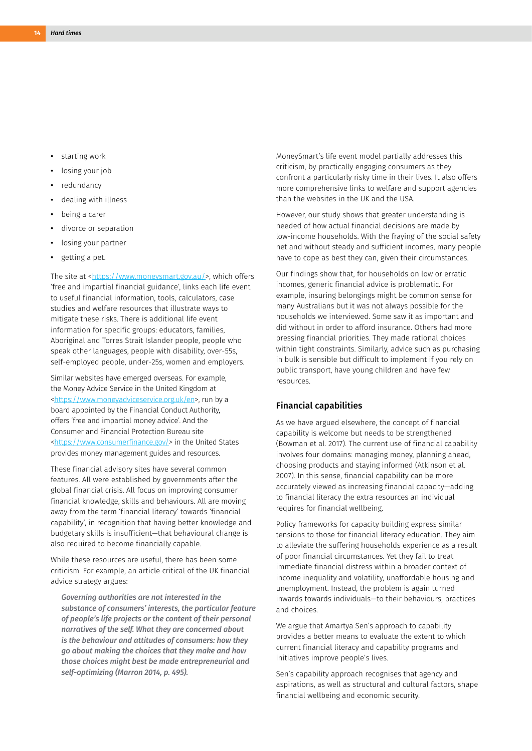- **•** starting work
- **•** losing your job
- **•** redundancy
- **•** dealing with illness
- **•** being a carer
- **•** divorce or separation
- **•** losing your partner
- **•** getting a pet.

The site at <[https://www.moneysmart.gov.au/>](https://www.moneysmart.gov.au/life-events-and-you/life-events), which offers 'free and impartial financial guidance', links each life event to useful financial information, tools, calculators, case studies and welfare resources that illustrate ways to mitigate these risks. There is additional life event information for specific groups: educators, families, Aboriginal and Torres Strait Islander people, people who speak other languages, people with disability, over-55s, self-employed people, under-25s, women and employers.

Similar websites have emerged overseas. For example, the Money Advice Service in the United Kingdom at <[https://www.moneyadviceservice.org.uk/en>](https://www.moneyadviceservice.org.uk/en), run by a board appointed by the Financial Conduct Authority, offers 'free and impartial money advice'. And the Consumer and Financial Protection Bureau site <<https://www.consumerfinance.gov/>> in the United States provides money management guides and resources.

These financial advisory sites have several common features. All were established by governments after the global financial crisis. All focus on improving consumer financial knowledge, skills and behaviours. All are moving away from the term 'financial literacy' towards 'financial capability', in recognition that having better knowledge and budgetary skills is insufficient—that behavioural change is also required to become financially capable.

While these resources are useful, there has been some criticism. For example, an article critical of the UK financial advice strategy argues:

*Governing authorities are not interested in the substance of consumers' interests, the particular feature of people's life projects or the content of their personal narratives of the self. What they are concerned about is the behaviour and attitudes of consumers: how they go about making the choices that they make and how those choices might best be made entrepreneurial and self-optimizing (Marron 2014, p. 495).*

MoneySmart's life event model partially addresses this criticism, by practically engaging consumers as they confront a particularly risky time in their lives. It also offers more comprehensive links to welfare and support agencies than the websites in the UK and the USA.

However, our study shows that greater understanding is needed of how actual financial decisions are made by low-income households. With the fraying of the social safety net and without steady and sufficient incomes, many people have to cope as best they can, given their circumstances.

Our findings show that, for households on low or erratic incomes, generic financial advice is problematic. For example, insuring belongings might be common sense for many Australians but it was not always possible for the households we interviewed. Some saw it as important and did without in order to afford insurance. Others had more pressing financial priorities. They made rational choices within tight constraints. Similarly, advice such as purchasing in bulk is sensible but difficult to implement if you rely on public transport, have young children and have few resources.

#### Financial capabilities

As we have argued elsewhere, the concept of financial capability is welcome but needs to be strengthened (Bowman et al. 2017). The current use of financial capability involves four domains: managing money, planning ahead, choosing products and staying informed (Atkinson et al. 2007). In this sense, financial capability can be more accurately viewed as increasing financial capacity—adding to financial literacy the extra resources an individual requires for financial wellbeing.

Policy frameworks for capacity building express similar tensions to those for financial literacy education. They aim to alleviate the suffering households experience as a result of poor financial circumstances. Yet they fail to treat immediate financial distress within a broader context of income inequality and volatility, unaffordable housing and unemployment. Instead, the problem is again turned inwards towards individuals—to their behaviours, practices and choices.

We argue that Amartya Sen's approach to capability provides a better means to evaluate the extent to which current financial literacy and capability programs and initiatives improve people's lives.

Sen's capability approach recognises that agency and aspirations, as well as structural and cultural factors, shape financial wellbeing and economic security.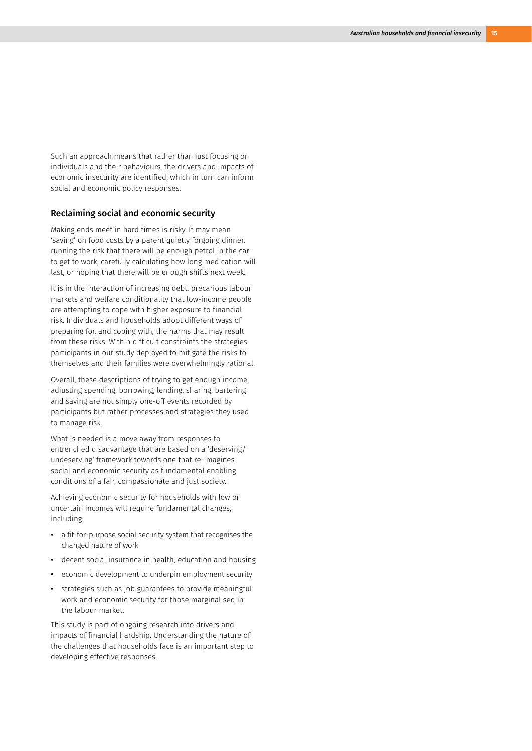Such an approach means that rather than just focusing on individuals and their behaviours, the drivers and impacts of economic insecurity are identified, which in turn can inform social and economic policy responses.

#### Reclaiming social and economic security

Making ends meet in hard times is risky. It may mean 'saving' on food costs by a parent quietly forgoing dinner, running the risk that there will be enough petrol in the car to get to work, carefully calculating how long medication will last, or hoping that there will be enough shifts next week.

It is in the interaction of increasing debt, precarious labour markets and welfare conditionality that low-income people are attempting to cope with higher exposure to financial risk. Individuals and households adopt different ways of preparing for, and coping with, the harms that may result from these risks. Within difficult constraints the strategies participants in our study deployed to mitigate the risks to themselves and their families were overwhelmingly rational.

Overall, these descriptions of trying to get enough income, adjusting spending, borrowing, lending, sharing, bartering and saving are not simply one-off events recorded by participants but rather processes and strategies they used to manage risk.

What is needed is a move away from responses to entrenched disadvantage that are based on a 'deserving/ undeserving' framework towards one that re-imagines social and economic security as fundamental enabling conditions of a fair, compassionate and just society.

Achieving economic security for households with low or uncertain incomes will require fundamental changes, including:

- **•** a fit-for-purpose social security system that recognises the changed nature of work
- **•** decent social insurance in health, education and housing
- **•** economic development to underpin employment security
- **•** strategies such as job guarantees to provide meaningful work and economic security for those marginalised in the labour market.

This study is part of ongoing research into drivers and impacts of financial hardship. Understanding the nature of the challenges that households face is an important step to developing effective responses.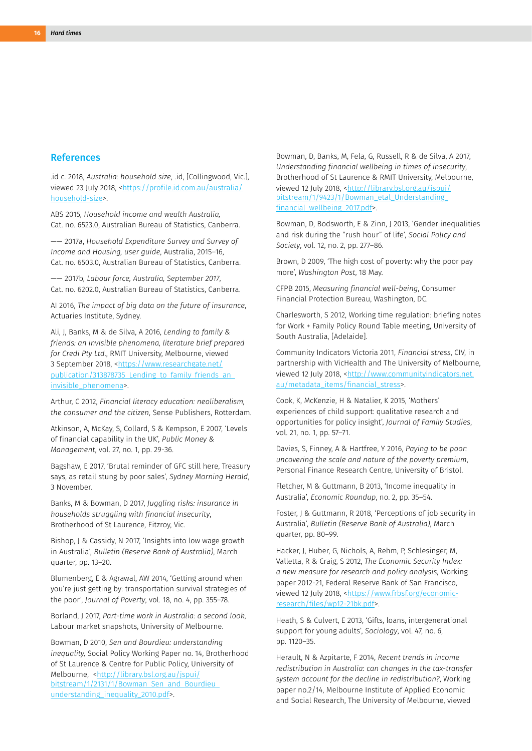#### References

.id c. 2018, *Australia: household size*, .id, [Collingwood, Vic.], viewed 23 July 2018, [<https://profile.id.com.au/australia/](https://profile.id.com.au/australia/household-size) [household-size>](https://profile.id.com.au/australia/household-size).

ABS 2015, *Household income and wealth Australia,* Cat. no. 6523.0, Australian Bureau of Statistics, Canberra.

—— 2017a, *Household Expenditure Survey and Survey of Income and Housing, user guide*, Australia, 2015–16, Cat. no. 6503.0, Australian Bureau of Statistics, Canberra.

—— 2017b, *Labour force, Australia, September 2017*, Cat. no. 6202.0, Australian Bureau of Statistics, Canberra.

AI 2016, *The impact of big data on the future of insurance*, Actuaries Institute, Sydney.

Ali, J, Banks, M & de Silva, A 2016, *Lending to family & friends: an invisible phenomena, literature brief prepared for Credi Pty Ltd*., RMIT University, Melbourne, viewed 3 September 2018, [<https://www.researchgate.net/](https://www.researchgate.net/publication/313878735_Lending_to_family_friends_an_invisible_phenomena) [publication/313878735\\_Lending\\_to\\_family\\_friends\\_an\\_](https://www.researchgate.net/publication/313878735_Lending_to_family_friends_an_invisible_phenomena) [invisible\\_phenomena](https://www.researchgate.net/publication/313878735_Lending_to_family_friends_an_invisible_phenomena)>.

Arthur, C 2012, *Financial literacy education: neoliberalism, the consumer and the citizen*, Sense Publishers, Rotterdam.

Atkinson, A, McKay, S, Collard, S & Kempson, E 2007, 'Levels of financial capability in the UK', *Public Money & Management*, vol. 27, no. 1, pp. 29-36.

Bagshaw, E 2017, 'Brutal reminder of GFC still here, Treasury says, as retail stung by poor sales', *Sydney Morning Herald*, 3 November.

Banks, M & Bowman, D 2017, *Juggling risks: insurance in households struggling with financial insecurity*, Brotherhood of St Laurence, Fitzroy, Vic.

Bishop, J & Cassidy, N 2017, 'Insights into low wage growth in Australia', *Bulletin (Reserve Bank of Australia)*, March quarter, pp. 13–20.

Blumenberg, E & Agrawal, AW 2014, 'Getting around when you're just getting by: transportation survival strategies of the poor', *Journal of Poverty*, vol. 18, no. 4, pp. 355–78.

Borland, J 2017, *Part-time work in Australia: a second look*, Labour market snapshots, University of Melbourne.

Bowman, D 2010, *Sen and Bourdieu: understanding inequality,* Social Policy Working Paper no. 14, Brotherhood of St Laurence & Centre for Public Policy, University of Melbourne, [<http://library.bsl.org.au/jspui/](http://library.bsl.org.au/jspui/bitstream/1/2131/1/Bowman_Sen_and_Bourdieu_understanding_inequality_) bitstream/1/2131/1/Bowman\_Sen\_and\_Bourdieu [understanding\\_inequality\\_2010.pdf](http://library.bsl.org.au/jspui/bitstream/1/2131/1/Bowman_Sen_and_Bourdieu_understanding_inequality_)>.

Bowman, D, Banks, M, Fela, G, Russell, R & de Silva, A 2017, *Understanding financial wellbeing in times of insecurity*, Brotherhood of St Laurence & RMIT University, Melbourne, viewed 12 July 2018, <[http://library.bsl.org.au/jspui/](http://library.bsl.org.au/jspui/bitstream/1/9423/1/Bowman_etal_Understanding_financial_wellbeing_201) [bitstream/1/9423/1/Bowman\\_etal\\_Understanding\\_](http://library.bsl.org.au/jspui/bitstream/1/9423/1/Bowman_etal_Understanding_financial_wellbeing_201) financial wellbeing 2017.pdf>.

Bowman, D, Bodsworth, E & Zinn, J 2013, 'Gender inequalities and risk during the "rush hour" of life', *Social Policy and Society*, vol. 12, no. 2, pp. 277–86.

Brown, D 2009, 'The high cost of poverty: why the poor pay more', *Washington Post*, 18 May.

CFPB 2015, *Measuring financial well-being*, Consumer Financial Protection Bureau, Washington, DC.

Charlesworth, S 2012, Working time regulation: briefing notes for Work + Family Policy Round Table meeting, University of South Australia, [Adelaide].

Community Indicators Victoria 2011, *Financial stress*, CIV, in partnership with VicHealth and The University of Melbourne, viewed 12 July 2018, <[http://www.communityindicators.net.](http://www.communityindicators.net.au/metadata_items/financial_stress) [au/metadata\\_items/financial\\_stress](http://www.communityindicators.net.au/metadata_items/financial_stress)>.

Cook, K, McKenzie, H & Natalier, K 2015, 'Mothers' experiences of child support: qualitative research and opportunities for policy insight', *Journal of Family Studies*, vol. 21, no. 1, pp. 57–71.

Davies, S, Finney, A & Hartfree, Y 2016, *Paying to be poor: uncovering the scale and nature of the poverty premium*, Personal Finance Research Centre, University of Bristol.

Fletcher, M & Guttmann, B 2013, 'Income inequality in Australia', *Economic Roundup*, no. 2, pp. 35–54.

Foster, J & Guttmann, R 2018, 'Perceptions of job security in Australia', *Bulletin (Reserve Bank of Australia)*, March quarter, pp. 80–99.

Hacker, J, Huber, G, Nichols, A, Rehm, P, Schlesinger, M, Valletta, R & Craig, S 2012, *The Economic Security Index: a new measure for research and policy analysis*, Working paper 2012-21, Federal Reserve Bank of San Francisco, viewed 12 July 2018, <[https://www.frbsf.org/economic](https://www.frbsf.org/economic-research/files/wp12-21bk.pdf)[research/files/wp12-21bk.pdf](https://www.frbsf.org/economic-research/files/wp12-21bk.pdf)>.

Heath, S & Culvert, E 2013, 'Gifts, loans, intergenerational support for young adults', *Sociology*, vol. 47, no. 6, pp. 1120–35.

Herault, N & Azpitarte, F 2014, *Recent trends in income redistribution in Australia: can changes in the tax-transfer system account for the decline in redistribution?*, Working paper no.2/14, Melbourne Institute of Applied Economic and Social Research, The University of Melbourne, viewed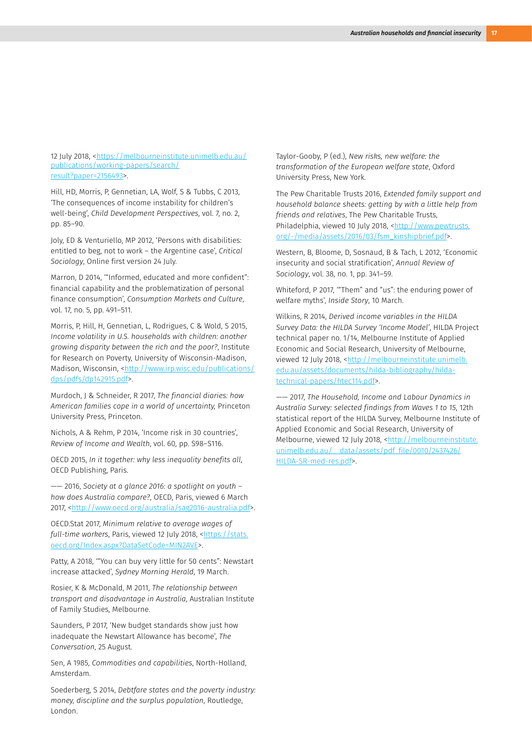12 July 2018, <[https://melbourneinstitute.unimelb.edu.au/](https://melbourneinstitute.unimelb.edu.au/publications/working-papers/search/result?paper=2156493) [publications/working-papers/search/](https://melbourneinstitute.unimelb.edu.au/publications/working-papers/search/result?paper=2156493) [result?paper=2156493>](https://melbourneinstitute.unimelb.edu.au/publications/working-papers/search/result?paper=2156493).

Hill, HD, Morris, P, Gennetian, LA, Wolf, S & Tubbs, C 2013, 'The consequences of income instability for children's well-being', *Child Development Perspectives*, vol. 7, no. 2, pp. 85–90.

Joly, ED & Venturiello, MP 2012, 'Persons with disabilities: entitled to beg, not to work – the Argentine case', *Critical Sociology*, Online first version 24 July.

Marron, D 2014, '"Informed, educated and more confident": financial capability and the problematization of personal finance consumption', *Consumption Markets and Culture*, vol. 17, no. 5, pp. 491–511.

Morris, P, Hill, H, Gennetian, L, Rodrigues, C & Wold, S 2015, *Income volatility in U.S. households with children: another growing disparity between the rich and the poor?*, Institute for Research on Poverty, University of Wisconsin-Madison, Madison, Wisconsin, [<http://www.irp.wisc.edu/publications/](http://www.irp.wisc.edu/publications/dps/pdfs/dp142915.pdf) [dps/pdfs/dp142915.pdf](http://www.irp.wisc.edu/publications/dps/pdfs/dp142915.pdf)>.

Murdoch, J & Schneider, R 2017, *The financial diaries: how American families cope in a world of uncertainty,* Princeton University Press, Princeton.

Nichols, A & Rehm, P 2014, 'Income risk in 30 countries', *Review of Income and Wealth*, vol. 60, pp. S98–S116.

OECD 2015, *In it together: why less inequality benefits all*, OECD Publishing, Paris.

—— 2016, *Society at a glance 2016: a spotlight on youth – how does Australia compare?*, OECD, Paris, viewed 6 March 2017, [<http://www.oecd.org/australia/sag2016-australia.pdf>](http://www.oecd.org/australia/sag2016-australia.pdf).

OECD.Stat 2017, *Minimum relative to average wages of full-time workers*, Paris, viewed 12 July 2018, <[https://stats.](https://stats.oecd.org/Index.aspx?DataSetCode=MIN2AVE) [oecd.org/Index.aspx?DataSetCode=MIN2AVE>](https://stats.oecd.org/Index.aspx?DataSetCode=MIN2AVE).

Patty, A 2018, '"You can buy very little for 50 cents": Newstart increase attacked', *Sydney Morning Herald*, 19 March.

Rosier, K & McDonald, M 2011, *The relationship between transport and disadvantage in Australia*, Australian Institute of Family Studies, Melbourne.

Saunders, P 2017, 'New budget standards show just how inadequate the Newstart Allowance has become', *The Conversation*, 25 August.

Sen, A 1985, *Commodities and capabilities*, North-Holland, Amsterdam.

Soederberg, S 2014, *Debtfare states and the poverty industry: money, discipline and the surplus population*, Routledge, London.

Taylor-Gooby, P (ed.), *New risks, new welfare: the transformation of the European welfare state*, Oxford University Press, New York.

The Pew Charitable Trusts 2016, *Extended family support and household balance sheets: getting by with a little help from friends and relatives*, The Pew Charitable Trusts, Philadelphia, viewed 10 July 2018, [<http://www.pewtrusts.](http://www.pewtrusts.org/-/media/assets/2016/03/fsm_kinshipbrief.pdf) [org/-/media/assets/2016/03/fsm\\_kinshipbrief.pdf](http://www.pewtrusts.org/-/media/assets/2016/03/fsm_kinshipbrief.pdf)>.

Western, B, Bloome, D, Sosnaud, B & Tach, L 2012, 'Economic insecurity and social stratification', *Annual Review of Sociology*, vol. 38, no. 1, pp. 341–59.

Whiteford, P 2017, '"Them" and "us": the enduring power of welfare myths', *Inside Story*, 10 March.

Wilkins, R 2014, *Derived income variables in the HILDA Survey Data: the HILDA Survey 'Income Model'*, HILDA Project technical paper no. 1/14, Melbourne Institute of Applied Economic and Social Research, University of Melbourne, viewed 12 July 2018, <[http://melbourneinstitute.unimelb.](http://melbourneinstitute.unimelb.edu.au/assets/documents/hilda-bibliography/hilda-technical-papers/) [edu.au/assets/documents/hilda-bibliography/hilda](http://melbourneinstitute.unimelb.edu.au/assets/documents/hilda-bibliography/hilda-technical-papers/)[technical-papers/htec114.pdf>](http://melbourneinstitute.unimelb.edu.au/assets/documents/hilda-bibliography/hilda-technical-papers/).

—— 2017, *The Household, Income and Labour Dynamics in Australia Survey: selected findings from Waves 1 to 15*, 12th statistical report of the HILDA Survey, Melbourne Institute of Applied Economic and Social Research, University of Melbourne, viewed 12 July 2018, <[http://melbourneinstitute.](http://melbourneinstitute.unimelb.edu.au/__data/assets/pdf_file/0010/2437426/HILDA-SR-med-res.pdf) [unimelb.edu.au/\\_\\_data/assets/pdf\\_file/0010/2437426/](http://melbourneinstitute.unimelb.edu.au/__data/assets/pdf_file/0010/2437426/HILDA-SR-med-res.pdf) [HILDA-SR-med-res.pdf>](http://melbourneinstitute.unimelb.edu.au/__data/assets/pdf_file/0010/2437426/HILDA-SR-med-res.pdf).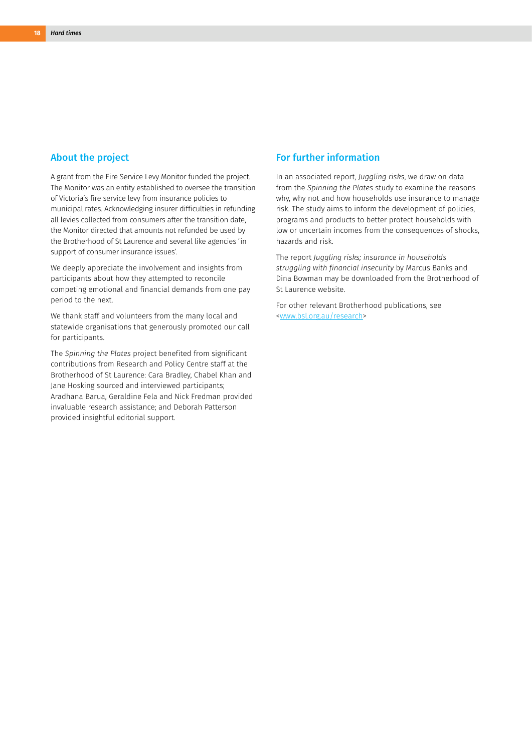#### About the project

A grant from the Fire Service Levy Monitor funded the project. The Monitor was an entity established to oversee the transition of Victoria's fire service levy from insurance policies to municipal rates. Acknowledging insurer difficulties in refunding all levies collected from consumers after the transition date, the Monitor directed that amounts not refunded be used by the Brotherhood of St Laurence and several like agencies 'in support of consumer insurance issues'.

We deeply appreciate the involvement and insights from participants about how they attempted to reconcile competing emotional and financial demands from one pay period to the next.

We thank staff and volunteers from the many local and statewide organisations that generously promoted our call for participants.

The *Spinning the Plates* project benefited from significant contributions from Research and Policy Centre staff at the Brotherhood of St Laurence: Cara Bradley, Chabel Khan and Jane Hosking sourced and interviewed participants; Aradhana Barua, Geraldine Fela and Nick Fredman provided invaluable research assistance; and Deborah Patterson provided insightful editorial support.

#### For further information

In an associated report, *Juggling risks*, we draw on data from the *Spinning the Plates* study to examine the reasons why, why not and how households use insurance to manage risk. The study aims to inform the development of policies, programs and products to better protect households with low or uncertain incomes from the consequences of shocks, hazards and risk.

The report *Juggling risks; insurance in households struggling with financial insecurity* by Marcus Banks and Dina Bowman may be downloaded from the Brotherhood of St Laurence website.

For other relevant Brotherhood publications, see [<www.bsl.org.au/research](http://www.bsl.org.au/research)>